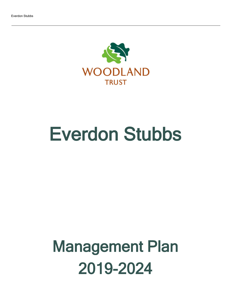

# Everdon Stubbs

## Management Plan 2019-2024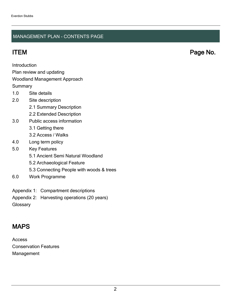#### MANAGEMENT PLAN - CONTENTS PAGE

ITEM Page No.

Introduction

Plan review and updating

#### Woodland Management Approach

**Summary** 

- 1.0 Site details
- 2.0 Site description
	- 2.1 Summary Description
	- 2.2 Extended Description
- 3.0 Public access information
	- 3.1 Getting there
	- 3.2 Access / Walks
- 4.0 Long term policy
- 5.0 Key Features
	- 5.1 Ancient Semi Natural Woodland
	- 5.2 Archaeological Feature
	- 5.3 Connecting People with woods & trees
- 6.0 Work Programme
- Appendix 1: Compartment descriptions
- Appendix 2: Harvesting operations (20 years)
- **Glossary**

## MAPS

Access Conservation Features Management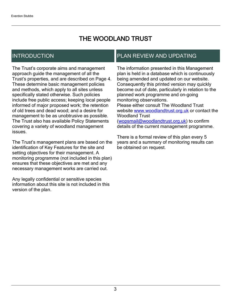## THE WOODLAND TRUST

## INTRODUCTION

The Trust's corporate aims and management approach guide the management of all the Trust's properties, and are described on Page 4. These determine basic management policies and methods, which apply to all sites unless specifically stated otherwise. Such policies include free public access; keeping local people informed of major proposed work; the retention of old trees and dead wood; and a desire for management to be as unobtrusive as possible. The Trust also has available Policy Statements covering a variety of woodland management issues.

The Trust's management plans are based on the identification of Key Features for the site and setting objectives for their management. A monitoring programme (not included in this plan) ensures that these objectives are met and any necessary management works are carried out.

Any legally confidential or sensitive species information about this site is not included in this version of the plan.

## PLAN REVIEW AND UPDATING

The information presented in this Management plan is held in a database which is continuously being amended and updated on our website. Consequently this printed version may quickly become out of date, particularly in relation to the planned work programme and on-going monitoring observations. Please either consult The Woodland Trust website [www.woodlandtrust.org.uk](http://www.woodlandtrust.org.uk/) or contact the Woodland Trust [\(wopsmail@woodlandtrust.org.uk](mailto:wopsmail@woodlandtrust.org.uk)) to confirm

details of the current management programme.

There is a formal review of this plan every 5 years and a summary of monitoring results can be obtained on request.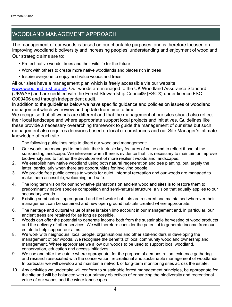## WOODLAND MANAGEMENT APPROACH

The management of our woods is based on our charitable purposes, and is therefore focused on improving woodland biodiversity and increasing peoples' understanding and enjoyment of woodland. Our strategic aims are to:

- Protect native woods, trees and their wildlife for the future
- Work with others to create more native woodlands and places rich in trees
- Inspire everyone to enjoy and value woods and trees

All our sites have a management plan which is freely accessible via our website [www.woodlandtrust.org.uk.](http://www.woodlandtrust.org.uk/) Our woods are managed to the UK Woodland Assurance Standard (UKWAS) and are certified with the Forest Stewardship Council® (FSC®) under licence FSC-C009406 and through independent audit.

In addition to the guidelines below we have specific guidance and policies on issues of woodland management which we review and update from time to time.

We recognise that all woods are different and that the management of our sites should also reflect their local landscape and where appropriate support local projects and initiatives. Guidelines like these provide a necessary overarching framework to guide the management of our sites but such management also requires decisions based on local circumstances and our Site Manager's intimate knowledge of each site.

The following guidelines help to direct our woodland management:

- 1. Our woods are managed to maintain their intrinsic key features of value and to reflect those of the surrounding landscape. We intervene when there is evidence that it is necessary to maintain or improve biodiversity and to further the development of more resilient woods and landscapes.
- 2. We establish new native woodland using both natural regeneration and tree planting, but largely the latter, particularly when there are opportunities for involving people.
- 3. We provide free public access to woods for quiet, informal recreation and our woods are managed to make them accessible, welcoming and safe.
- 4. The long term vision for our non-native plantations on ancient woodland sites is to restore them to predominantly native species composition and semi-natural structure, a vision that equally applies to our secondary woods.
- 5. Existing semi-natural open-ground and freshwater habitats are restored and maintained wherever their management can be sustained and new open ground habitats created where appropriate.
- 6. The heritage and cultural value of sites is taken into account in our management and, in particular, our ancient trees are retained for as long as possible.
- 7. Woods can offer the potential to generate income both from the sustainable harvesting of wood products and the delivery of other services. We will therefore consider the potential to generate income from our estate to help support our aims.
- 8. We work with neighbours, local people, organisations and other stakeholders in developing the management of our woods. We recognise the benefits of local community woodland ownership and management. Where appropriate we allow our woods to be used to support local woodland, conservation, education and access initiatives.
- 9. We use and offer the estate where appropriate, for the purpose of demonstration, evidence gathering and research associated with the conservation, recreational and sustainable management of woodlands. In particular we will develop and maintain a network of long-term monitoring sites across the estate.
- 10 Any activities we undertake will conform to sustainable forest management principles, be appropriate for the site and will be balanced with our primary objectives of enhancing the biodiversity and recreational value of our woods and the wider landscapes.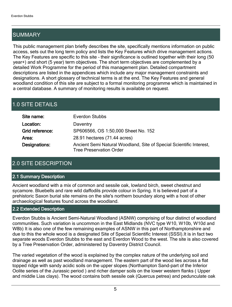## **SUMMARY**

This public management plan briefly describes the site, specifically mentions information on public access, sets out the long term policy and lists the Key Features which drive management actions. The Key Features are specific to this site - their significance is outlined together with their long (50 year+) and short (5 year) term objectives. The short term objectives are complemented by a detailed Work Programme for the period of this management plan. Detailed compartment descriptions are listed in the appendices which include any major management constraints and designations. A short glossary of technical terms is at the end. The Key Features and general woodland condition of this site are subject to a formal monitoring programme which is maintained in a central database. A summary of monitoring results is available on request.

## 1.0 SITE DETAILS

| Site name:      | <b>Everdon Stubbs</b>                                                                                 |
|-----------------|-------------------------------------------------------------------------------------------------------|
| Location:       | Daventry                                                                                              |
| Grid reference: | SP606566, OS 1:50,000 Sheet No. 152                                                                   |
| Area:           | 28.91 hectares (71.44 acres)                                                                          |
| Designations:   | Ancient Semi Natural Woodland, Site of Special Scientific Interest,<br><b>Tree Preservation Order</b> |

### 2.0 SITE DESCRIPTION

#### 2.1 Summary Description

Ancient woodland with a mix of common and sessile oak, lowland birch, sweet chestnut and sycamore. Bluebells and rare wild daffodils provide colour in Spring. It is believed part of a prehistoric Saxon burial site remains on the site's northern boundary along with a host of other archaeological features found across the woodland.

#### 2.2 Extended Description

Everdon Stubbs is Ancient Semi-Natural Woodland (ASNW) comprising of four distinct of woodland communities. Such variation is uncommon in the East Midlands (NVC type W10, W10b, W10d and W8b) It is also one of the few remaining examples of ASNW in this part of Northamptonshire and due to this the whole wood is a designated Site of Special Scientific Interest (SSSI).It is in fact two separate woods Everdon Stubbs to the east and Everdon Wood to the west. The site is also covered by a Tree Preservation Order, administered by Daventry District Council.

The varied vegetation of the wood is explained by the complex nature of the underlying soil and drainage as well as past woodland management. The eastern part of the wood lies across a flat topped ridge with sandy acidic soils on the upper slopes (Northampton Sand-part of the Inferior Oolite series of the Jurassic period ) and richer damper soils on the lower western flanks ( Upper and middle Lias clays). The wood contains both sessile oak (Quercus petrea) and pedunculate oak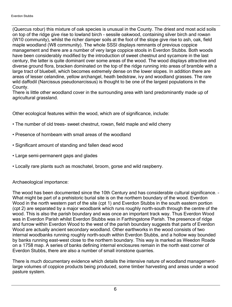(Quercus robur) this mixture of oak species is unusual in the County. The driest and most acid soils on top of the ridge give rise to lowland birch - sessile oakwood, containing silver birch and rowan (W10 community), whilst the richer damper soils at the foot of the slope give rise to ash, oak, field maple woodland (W8 community). The whole SSSI displays remnants of previous coppice management and there are a number of very large coppice stools in Everdon Stubbs. Both woods have been considerably modified by the introduction of sweet chestnut and sycamore in the last century, the latter is quite dominant over some areas of the wood. The wood displays attractive and diverse ground flora, bracken dominated on the top of the ridge running into areas of bramble with a large tract of bluebell, which becomes extremely dense on the lower slopes. In addition there are areas of lesser celandine, yellow archangel, heath bedstraw, ivy and woodland grasses. The rare wild daffodil (Narcissus pseudonarcissus) is thought to be one of the largest populations in the County.

There is little other woodland cover in the surrounding area with land predominantly made up of agricultural grassland.

Other ecological features within the wood, which are of significance, include:

- The number of old trees- sweet chestnut, rowan, field maple and wild cherry
- Presence of hornbeam with small areas of the woodland
- Significant amount of standing and fallen dead wood
- Large semi-permanent gaps and glades
- Locally rare plants such as moschatel, broom, gorse and wild raspberry.

#### Archaeological importance:

The wood has been documented since the 10th Century and has considerable cultural significance. -What might be part of a prehistoric burial site is on the northern boundary of the wood. Everdon Wood in the north western part of the site (cpt 1) and Everdon Stubbs in the south eastern portion (cpt 2) are separated by a major woodbank which runs roughly north-south through the centre of the wood. This is also the parish boundary and was once an important track way. Thus Everdon Wood was in Everdon Parish whilst Everdon Stubbs was in Farthingstone Parish. The presence of ridge and furrow within Everdon Wood to the west of the parish boundary suggests that parts of Everdon Wood are actually ancient secondary woodland. Other earthworks in the wood consists of two internal woodbanks running roughly north-south within Everdon Stubbs, and a hollow way bounded by banks running east-west close to the northern boundary. This way is marked as Weedon Roade on a 1758 map. A series of banks defining internal enclosures remain in the north east corner of Everdon Stubbs, there are also a number of small ironstone quarries.

There is much documentary evidence which details the intensive nature of woodland managementlarge volumes of coppice products being produced, some timber harvesting and areas under a wood pasture system.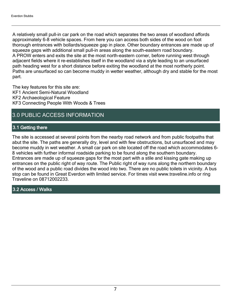A relatively small pull-in car park on the road which separates the two areas of woodland affords approximately 6-8 vehicle spaces. From here you can access both sides of the wood on foot thorough entrances with bollards/squeeze gap in place. Other boundary entrances are made up of squeeze gaps with additional small pull-in areas along the south-eastern road boundary. A PROW enters and exits the site at the most north-eastern corner, before running west through adjacent fields where it re-establishes itself in the woodland via a style leading to an unsurfaced path heading west for a short distance before exiting the woodland at the most northerly point. Paths are unsurfaced so can become muddy in wetter weather, although dry and stable for the most part.

The key features for this site are: KF1 Ancient Semi-Natural Woodland KF2 Archaeological Feature KF3 Connecting People With Woods & Trees

## 3.0 PUBLIC ACCESS INFORMATION

### 3.1 Getting there

The site is accessed at several points from the nearby road network and from public footpaths that abut the site. The paths are generally dry, level and with few obstructions, but unsurfaced and may become muddy in wet weather. A small car park on site located off the road which accommodates 6- 8 vehicles with further informal roadside parking to be found along the southern boundary. Entrances are made up of squeeze gaps for the most part with a stile and kissing gate making up entrances on the public right of way route. The Public right of way runs along the northern boundary of the wood and a public road divides the wood into two. There are no public toilets in vicinity. A bus stop can be found in Great Everdon with limited service. For times visit www.traveline.info or ring Traveline on 08712002233.

3.2 Access / Walks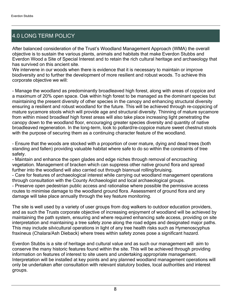## 4.0 LONG TERM POLICY

After balanced consideration of the Trust's Woodland Management Approach (WMA) the overall objective is to sustain the various plants, animals and habitats that make Everdon Stubbs and Everdon Wood a Site of Special Interest and to retain the rich cultural heritage and archaeology that has survived on this ancient site.

We intervene in our woods when there is evidence that it is necessary to maintain or improve biodiversity and to further the development of more resilient and robust woods. To achieve this corporate objective we will:

- Manage the woodland as predominantly broadleaved high forest, along with areas of coppice and a maximum of 20% open space. Oak within high forest to be managed as the dominant species but maintaining the present diversity of other species in the canopy and enhancing structural diversity ensuring a resilient and robust woodland for the future. This will be achieved through re-coppicing of mature sycamore stools which will provide age and structural diversity. Thinning of mature sycamore from within mixed broadleaf high forest areas will also take place increasing light penetrating the canopy down to the woodland floor, encouraging greater species diversity and quantity of native broadleaved regeneration. In the long-term, look to pollard/re-coppice mature sweet chestnut stools with the purpose of securing them as a continuing character feature of the woodland.

- Ensure that the woods are stocked with a proportion of over mature, dying and dead trees (both standing and fallen) providing valuable habitat where safe to do so within the constraints of tree safety.

- Maintain and enhance the open glades and edge niches through removal of encroaching vegetation. Management of bracken which can suppress other native ground flora and spread further into the woodland will also carried out through biannual rolling/bruising.

- Care for features of archaeological interest while carrying out woodland management operations through consultation with the County Archaeologist and local archaeological groups.

- Preserve open pedestrian public access and rationalise where possible the permissive access routes to minimise damage to the woodland ground flora. Assessment of ground flora and any damage will take place annually through the key feature monitoring.

The site is well used by a variety of user groups from dog walkers to outdoor education providers, and as such the Trusts corporate objective of increasing enjoyment of woodland will be achieved by maintaining the path system, ensuring and where required enhancing safe access, providing on site interpretation and maintaining a tree safety zone along the road edges and designated major paths. This may include silvicultural operations in light of any tree health risks such as Hymenoscyphus fraxineus (Chalara/Ash Dieback) where trees within safety zones pose a significant hazard.

Everdon Stubbs is a site of heritage and cultural value and as such our management will aim to conserve the many historic features found within the site. This will be achieved through providing information on features of interest to site users and undertaking appropriate management. Interpretation will be installed at key points and any planned woodland management operations will only be undertaken after consultation with relevant statutory bodies, local authorities and interest groups.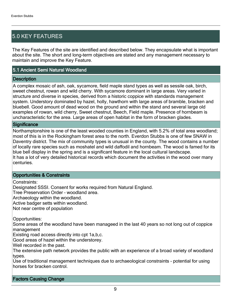## 5.0 KEY FEATURES

The Key Features of the site are identified and described below. They encapsulate what is important about the site. The short and long-term objectives are stated and any management necessary to maintain and improve the Key Feature.

#### 5.1 Ancient Semi Natural Woodland

#### **Description**

A complex mosaic of ash, oak, sycamore, field maple stand types as well as sessile oak, birch, sweet chestnut, rowan and wild cherry. With sycamore dominant in large areas. Very varied in structure and diverse in species, derived from a historic coppice with standards management system. Understory dominated by hazel, holly, hawthorn with large areas of bramble, bracken and bluebell. Good amount of dead wood on the ground and within the stand and several large old examples of rowan, wild cherry, Sweet chestnut, Beech, Field maple. Presence of hornbeam is uncharacteristic for the area. Large areas of open habitat in the form of bracken glades.

#### **Significance**

Northamptonshire is one of the least wooded counties in England, with 5.2% of total area woodland; most of this is in the Rockingham forest area to the north. Everdon Stubbs is one of few SNAW in Daventry district. The mix of community types is unusual in the county. The wood contains a number of locally rare species such as moshatel and wild daffodil and hornbeam. The wood is famed for its blue bell display in the spring and is a significant feature in the local cultural landscape. It has a lot of very detailed historical records which document the activities in the wood over many centuries.

#### Opportunities & Constraints

Constraints:

Designated SSSI. Consent for works required from Natural England.

Tree Preservation Order - woodland area.

Archaeology within the woodland.

Active badger setts within woodland.

Not near centre of population

Opportunities:

Some areas of the woodland have been manageed in the last 40 years so not long out of coppice management

Existing road access directly into cpt 1a,b,c.

Good areas of hazel within the understorey.

Well recorded in the past.

The extensive path network provides the public with an experience of a broad variety of woodland types.

Use of traditional management techniques due to archaeological constraints - potential for using horses for bracken control.

Factors Causing Change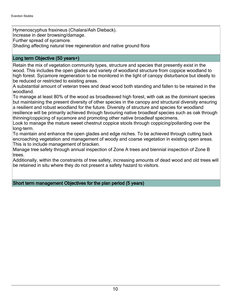Hymenoscyphus fraxineus (Chalara/Ash Dieback). Increase in deer browsing/damage. Further spread of sycamore. Shading affecting natural tree regeneration and native ground flora

#### Long term Objective (50 years+)

Retain the mix of vegetation community types, structure and species that presently exist in the wood. This includes the open glades and variety of woodland structure from coppice woodland to high forest. Sycamore regeneration to be monitored in the light of canopy disturbance but ideally to be reduced or restricted to existing areas.

A substantial amount of veteran trees and dead wood both standing and fallen to be retained in the woodland.

To manage at least 80% of the wood as broadleaved high forest, with oak as the dominant species but maintaining the present diversity of other species in the canopy and structural diversity ensuring a resilient and robust woodland for the future. Diversity of structure and species for woodland resilience will be primarily achieved through favouring native broadleaf species such as oak through thinning/coppicing of sycamore and promoting other native broadleaf specimens.

Look to manage the mature sweet chestnut coppice stools through coppicing/pollarding over the long-term.

To maintain and enhance the open glades and edge niches. To be achieved through cutting back encroaching vegetation and management of woody and coarse vegetation in existing open areas. This is to include management of bracken.

Manage tree safety through annual inspection of Zone A trees and biennial inspection of Zone B trees.

Additionally, within the constraints of tree safety, increasing amounts of dead wood and old trees will be retained in situ where they do not present a safety hazard to visitors.

#### Short term management Objectives for the plan period (5 years)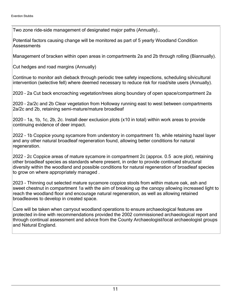Two zone ride-side management of designated major paths (Annually)..

Potential factors causing change will be monitored as part of 5 yearly Woodland Condition **Assessments** 

Management of bracken within open areas in compartments 2a and 2b through rolling (Biannually).

Cut hedges and road margins (Annually)

Continue to monitor ash dieback through periodic tree safety inspections, scheduling silvicultural intervention (selective fell) where deemed necessary to reduce risk for road/site users (Annually).

2020 - 2a Cut back encroaching vegetation/trees along boundary of open space/compartment 2a

2020 - 2a/2c and 2b Clear vegetation from Holloway running east to west between compartments 2a/2c and 2b, retaining semi-mature/mature broadleaf

2020 - 1a, 1b, 1c, 2b, 2c. Install deer exclusion plots  $(x10$  in total) within work areas to provide continuing evidence of deer impact.

2022 - 1b Coppice young sycamore from understory in compartment 1b, while retaining hazel layer and any other natural broadleaf regeneration found, allowing better conditions for natural regeneration.

2022 - 2c Coppice areas of mature sycamore in compartment 2c (approx. 0.5 acre plot), retaining other broadleaf species as standards where present, in order to provide continued structural diversity within the woodland and possible conditions for natural regeneration of broadleaf species to grow on where appropriately managed .

2023 - Thinning out selected mature sycamore coppice stools from within mature oak, ash and sweet chestnut in compartment 1a with the aim of breaking up the canopy allowing increased light to reach the woodland floor and encourage natural regeneration, as well as allowing retained broadleaves to develop in created space.

Care will be taken when carryout woodland operations to ensure archaeological features are protected in-line with recommendations provided the 2002 commissioned archaeological report and through continual assessment and advice from the County Archaeologist/local archaeologist groups and Natural England.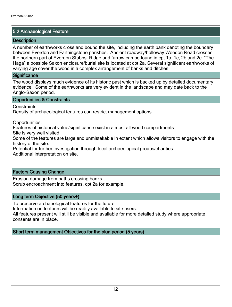#### 5.2 Archaeological Feature

#### **Description**

A number of earthworks cross and bound the site, including the earth bank denoting the boundary between Everdon and Farthingstone parishes. Ancient roadway/holloway Weedon Road crosses the northern part of Everdon Stubbs. Ridge and furrow can be found in cpt 1a, 1c, 2b and 2c. "The Haga" a possible Saxon enclosure/burial site is located at cpt 2a. Several significant earthworks of varying age cover the wood in a complex arrangement of banks and ditches.

#### **Significance**

The wood displays much evidence of its historic past which is backed up by detailed documentary evidence. Some of the earthworks are very evident in the landscape and may date back to the Anglo-Saxon period.

#### Opportunities & Constraints

Constraints:

Density of archaeological features can restrict management options

Opportunities:

Features of historical value/significance exist in almost all wood compartments

Site is very well visited

Some of the features are large and unmistakable in extent which allows visitors to engage with the history of the site.

Potential for further investigation through local archaeological groups/charities.

Additional interpretation on site.

#### Factors Causing Change

Erosion damage from paths crossing banks. Scrub encroachment into features, cpt 2a for example.

#### Long term Objective (50 years+)

To preserve archaeological features for the future.

Information on features will be readily available to site users.

All features present will still be visible and available for more detailed study where appropriate consents are in place.

Short term management Objectives for the plan period (5 years)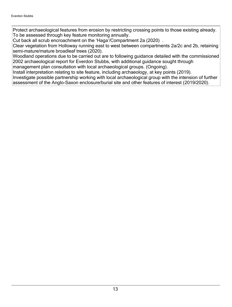Protect archaeological features from erosion by restricting crossing points to those existing already. To be assessed through key feature monitoring annually.

Cut back all scrub encroachment on the 'Haga'/Compartment 2a (2020).

Clear vegetation from Holloway running east to west between compartments 2a/2c and 2b, retaining semi-mature/mature broadleaf trees (2020).

Woodland operations due to be carried out are to following guidance detailed with the commissioned 2002 archaeological report for Everdon Stubbs, with additional guidance sought through management plan consultation with local archaeological groups. (Ongoing).

Install interpretation relating to site feature, including archaeology, at key points (2019).

Investigate possible partnership working with local archaeological group with the intension of further assessment of the Anglo-Saxon enclosure/burial site and other features of interest (2019/2020).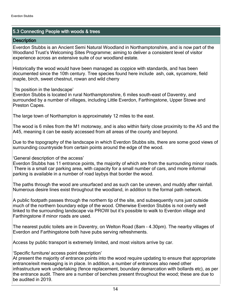#### 5.3 Connecting People with woods & trees

#### **Description**

Everdon Stubbs is an Ancient Semi Natural Woodland in Northamptonshire, and is now part of the Woodland Trust's Welcoming Sites Programme; aiming to deliver a consistent level of visitor experience across an extensive suite of our woodland estate.

Historically the wood would have been managed as coppice with standards, and has been documented since the 10th century. Tree species found here include ash, oak, sycamore, field maple, birch, sweet chestnut, rowan and wild cherry

'Its position in the landscape'

Everdon Stubbs is located in rural Northamptonshire, 6 miles south-east of Daventry, and surrounded by a number of villages, including Little Everdon, Farthingstone, Upper Stowe and Preston Capes.

The large town of Northampton is approximately 12 miles to the east.

The wood is 6 miles from the M1 motorway, and is also within fairly close proximity to the A5 and the A45, meaning it can be easily accessed from all areas of the county and beyond.

Due to the topography of the landscape in which Everdon Stubbs sits, there are some good views of surrounding countryside from certain points around the edge of the wood.

'General description of the access'

Everdon Stubbs has 11 entrance points, the majority of which are from the surrounding minor roads. There is a small car parking area, with capacity for a small number of cars, and more informal parking is available in a number of road laybys that border the wood.

The paths through the wood are unsurfaced and as such can be uneven, and muddy after rainfall. Numerous desire lines exist throughout the woodland, in addition to the formal path network.

A public footpath passes through the northern tip of the site, and subsequently runs just outside much of the northern boundary edge of the wood. Otherwise Everdon Stubbs is not overly well linked to the surrounding landscape via PROW but it's possible to walk to Everdon village and Farthingstone if minor roads are used.

The nearest public toilets are in Daventry, on Welton Road (8am - 4.30pm). The nearby villages of Everdon and Farthingstone both have pubs serving refreshments.

Access by public transport is extremely limited, and most visitors arrive by car.

'Specific furniture/ access point description'

At present the majority of entrance points into the wood require updating to ensure that appropriate entrance/exit messaging is in place. In addition, a number of entrances also need other infrastructure work undertaking (fence replacement, boundary demarcation with bollards etc), as per the entrance audit. There are a number of benches present throughout the wood; these are due to be audited in 2019.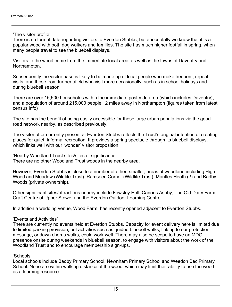The visitor profile'

There is no formal data regarding visitors to Everdon Stubbs, but anecdotally we know that it is a popular wood with both dog walkers and families. The site has much higher footfall in spring, when many people travel to see the bluebell displays.

Visitors to the wood come from the immediate local area, as well as the towns of Daventry and Northampton.

Subsequently the visitor base is likely to be made up of local people who make frequent, repeat visits, and those from further afield who visit more occasionally, such as in school holidays and during bluebell season.

There are over 15,500 households within the immediate postcode area (which includes Daventry), and a population of around 215,000 people 12 miles away in Northampton (figures taken from latest census info)

The site has the benefit of being easily accessible for these large urban populations via the good road network nearby, as described previously.

The visitor offer currently present at Everdon Stubbs reflects the Trust's original intention of creating places for quiet, informal recreation. It provides a spring spectacle through its bluebell displays, which links well with our 'wonder' visitor proposition.

Nearby Woodland Trust sites/sites of significance' There are no other Woodland Trust woods in the nearby area.

However, Everdon Stubbs is close to a number of other, smaller, areas of woodland including High Wood and Meadow (Wildlife Trust), Ramsden Corner (Wildlife Trust), Mantles Heath (?) and Badby Woods (private ownership).

Other significant sites/attractions nearby include Fawsley Hall, Canons Ashby, The Old Dairy Farm Craft Centre at Upper Stowe, and the Everdon Outdoor Learning Centre.

In addition a wedding venue, Wood Farm, has recently opened adjacent to Everdon Stubbs.

**Events and Activities'** 

There are currently no events held at Everdon Stubbs. Capacity for event delivery here is limited due to limited parking provision, but activities such as guided bluebell walks, linking to our protection message, or dawn chorus walks, could work well. There may also be scope to have an MDO presence onsite during weekends in bluebell season, to engage with visitors about the work of the Woodland Trust and to encourage membership sign-ups.

'Schools'

Local schools include Badby Primary School, Newnham Primary School and Weedon Bec Primary School. None are within walking distance of the wood, which may limit their ability to use the wood as a learning resource.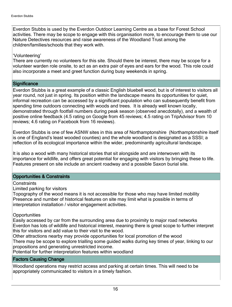Everdon Stubbs is used by the Everdon Outdoor Learning Centre as a base for Forest School activities. There may be scope to engage with this organisation more, to encourage them to use our Nature Detectives resources and raise awareness of the Woodland Trust among the children/families/schools that they work with.

#### 'Volunteering'

There are currently no volunteers for this site. Should there be interest, there may be scope for a volunteer warden role onsite, to act as an extra pair of eyes and ears for the wood. This role could also incorporate a meet and greet function during busy weekends in spring.

#### **Significance**

Everdon Stubbs is a great example of a classic English bluebell wood, but is of interest to visitors all year round, not just in spring. Its position within the landscape means its opportunities for quiet, informal recreation can be accessed by a significant population who can subsequently benefit from spending time outdoors connecting with woods and trees. It is already well known locally, demonstrated through footfall numbers during peak season (observed anecdotally), and a wealth of positive online feedback (4.5 rating on Google from 45 reviews; 4.5 rating on TripAdvisor from 10 reviews; 4.6 rating on Facebook from 16 reviews).

Everdon Stubbs is one of few ASNW sites in this area of Northamptonshire (Northamptonshire itself is one of England's least wooded counties) and the whole woodland is designated as a SSSI; a reflection of its ecological importance within the wider, predominantly agricultural landscape.

It is also a wood with many historical stories that sit alongside and are interwoven with its importance for wildlife, and offers great potential for engaging with visitors by bringing these to life. Features present on site include an ancient roadway and a possible Saxon burial site.

#### Opportunities & Constraints

#### **Constraints**

Limited parking for visitors

Topography of the wood means it is not accessible for those who may have limited mobility Presence and number of historical features on site may limit what is possible in terms of interpretation installation / visitor engagement activities.

#### **Opportunities**

Easily accessed by car from the surrounding area due to proximity to major road networks Everdon has lots of wildlife and historical interest, meaning there is great scope to further interpret this for visitors and add value to their visit to the wood.

Other attractions nearby may provide opportunities for local promotion of the wood There may be scope to explore trialling some guided walks during key times of year, linking to our propositions and generating unrestricted income.

Potential for further interpretation features within woodland

#### Factors Causing Change

Woodland operations may restrict access and parking at certain times. This will need to be appropriately communicated to visitors in a timely fashion.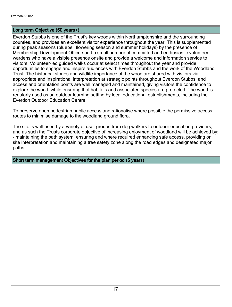#### Long term Objective (50 years+)

Everdon Stubbs is one of the Trust's key woods within Northamptonshire and the surrounding counties, and provides an excellent visitor experience throughout the year. This is supplemented during peak seasons (bluebell flowering season and summer holidays) by the presence of Membership Development Officersand a small number of committed and enthusiastic volunteer wardens who have a visible presence onsite and provide a welcome and information service to visitors. Volunteer-led guided walks occur at select times throughout the year and provide opportunities to engage and inspire audiences with Everdon Stubbs and the work of the Woodland Trust. The historical stories and wildlife importance of the wood are shared with visitors via appropriate and inspirational interpretation at strategic points throughout Everdon Stubbs, and access and orientation points are well managed and maintained, giving visitors the confidence to explore the wood, while ensuring that habitats and associated species are protected. The wood is regularly used as an outdoor learning setting by local educational establishments, including the Everdon Outdoor Education Centre

To preserve open pedestrian public access and rationalise where possible the permissive access routes to minimise damage to the woodland ground flora.

The site is well used by a variety of user groups from dog walkers to outdoor education providers, and as such the Trusts corporate objective of increasing enjoyment of woodland will be achieved by: - maintaining the path system, ensuring and where required enhancing safe access, providing on site interpretation and maintaining a tree safety zone along the road edges and designated major paths.

Short term management Objectives for the plan period (5 years)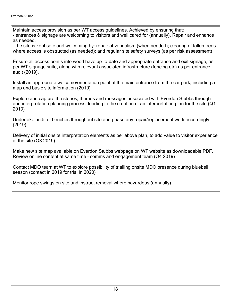Maintain access provision as per WT access guidelines. Achieved by ensuring that: - entrances & signage are welcoming to visitors and well cared for (annually). Repair and enhance as needed.

- the site is kept safe and welcoming by: repair of vandalism (when needed); clearing of fallen trees where access is obstructed (as needed); and regular site safety surveys (as per risk assessment)

Ensure all access points into wood have up-to-date and appropriate entrance and exit signage, as per WT signage suite, along with relevant associated infrastructure (fencing etc) as per entrance audit (2019).

Install an appropriate welcome/orientation point at the main entrance from the car park, including a map and basic site information (2019)

Explore and capture the stories, themes and messages associated with Everdon Stubbs through and interpretation planning process, leading to the creation of an interpretation plan for the site (Q1 2019)

Undertake audit of benches throughout site and phase any repair/replacement work accordingly (2019)

Delivery of initial onsite interpretation elements as per above plan, to add value to visitor experience at the site (Q3 2019)

Make new site map available on Everdon Stubbs webpage on WT website as downloadable PDF. Review online content at same time - comms and engagement team (Q4 2019)

Contact MDO team at WT to explore possibility of trialling onsite MDO presence during bluebell season (contact in 2019 for trial in 2020)

Monitor rope swings on site and instruct removal where hazardous (annually)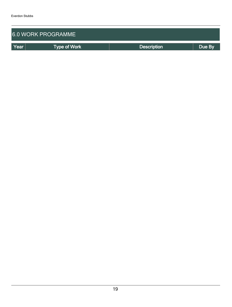| <b>6.0 WORK PROGRAMME</b> |                     |                    |        |  |  |  |  |
|---------------------------|---------------------|--------------------|--------|--|--|--|--|
| Year                      | <b>Type of Work</b> | <b>Description</b> | Due By |  |  |  |  |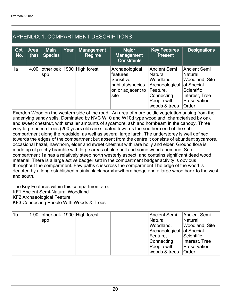## APPENDIX 1: COMPARTMENT DESCRIPTIONS

| Cpt<br>No. | Area<br>(ha)                                                                                                                                                                                    | <b>Main</b><br><b>Species</b> | Year | <b>Management</b><br>Regime | <b>Major</b><br><b>Management</b><br><b>Constraints</b>                                   | <b>Key Features</b><br><b>Present</b>                                                                            | <b>Designations</b>                                                                                                            |  |  |
|------------|-------------------------------------------------------------------------------------------------------------------------------------------------------------------------------------------------|-------------------------------|------|-----------------------------|-------------------------------------------------------------------------------------------|------------------------------------------------------------------------------------------------------------------|--------------------------------------------------------------------------------------------------------------------------------|--|--|
| 1a         | 4.00                                                                                                                                                                                            | spp                           |      | other oak 1900 High forest  | Archaeological<br>features,<br>Sensitive<br>habitats/species<br>on or adjacent to<br>site | Ancient Semi<br>Natural<br>Woodland,<br>Archaeological<br>Feature,<br>Connecting<br>People with<br>woods & trees | <b>Ancient Semi</b><br>Natural<br>Woodland, Site<br>of Special<br><b>Scientific</b><br>Interest, Tree<br>Preservation<br>Order |  |  |
|            | Everdon Wood on the western side of the road. An area of more acidic vegetation arising from the<br>underlying condy soils. Deminated by NVC WILD and WILDd type woodland, ebereeteriaad by oak |                               |      |                             |                                                                                           |                                                                                                                  |                                                                                                                                |  |  |

underlying sandy soils. Dominated by NVC W10 and W10d type woodland, characterised by oak and sweet chestnut, with smaller amounts of sycamore, ash and hornbeam in the canopy. Three very large beech trees (200 years old) are situated towards the southern end of the sub compartment along the roadside, as well as several large larch. The understorey is well defined towards the edges of the compartment but absent from the centre it consists of abundant sycamore, occasional hazel, hawthorn, elder and sweet chestnut with rare holly and elder. Ground flora is made up of patchy bramble with large areas of blue bell and some wood anemone. Sub compartment 1a has a relatively steep north westerly aspect, and contains significant dead wood material. There is a large active badger sett in the compartment badger activity is obvious throughout the compartment. Few paths crisscross the compartment The edge of the wood is denoted by a long established mainly blackthorn/hawthorn hedge and a large wood bank to the west and south.

The Key Features within this compartment are:

KF1 Ancient Semi-Natural Woodland

KF2 Archaeological Feature

KF3 Connecting People With Woods & Trees

| 1 <sub>b</sub> |     | 1.90 other oak 1900 High forest | Ancient Semi              | Ancient Semi   |
|----------------|-----|---------------------------------|---------------------------|----------------|
|                | spp |                                 | <b>Natural</b>            | Natural        |
|                |     |                                 | Woodland,                 | Woodland, Site |
|                |     |                                 | Archaeological of Special |                |
|                |     |                                 | Feature,                  | Scientific     |
|                |     |                                 | Connecting                | Interest, Tree |
|                |     |                                 | People with               | Preservation   |
|                |     |                                 | woods & trees             | <b>Order</b>   |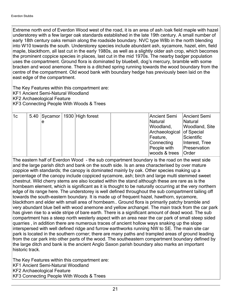Extreme north end of Everdon Wood west of the road, it is an area of ash /oak field maple with hazel understorey with a few larger oak standards established in the late 19th century. A small number of early 18th century oaks remain along the roadside boundary. NVC type W8b in the north blending into W10 towards the south. Understorey species include abundant ash, sycamore, hazel, elm, field maple, blackthorn, all last cut in the early 1980s, as well as a slightly older ash crop, which becomes the prominent coppice species in places, last cut in the mid 1970s. The nearby badger population uses the compartment. Ground flora is dominated by bluebell, dog's mercury, bramble with some bracken and wood anemone. There is a ditched spring running towards the wood boundary from the centre of the compartment. Old wood bank with boundary hedge has previously been laid on the east edge of the compartment.

The Key Features within this compartment are:

KF1 Ancient Semi-Natural Woodland

KF2 Archaeological Feature

KF3 Connecting People With Woods & Trees

| $\vert$ 1c |   | 5.40 Sycamor   1930 High forest | <b>Ancient Semi</b>       | Ancient Semi   |
|------------|---|---------------------------------|---------------------------|----------------|
|            | e |                                 | Natural                   | Natural        |
|            |   |                                 | Woodland,                 | Woodland, Site |
|            |   |                                 | Archaeological of Special |                |
|            |   |                                 | Feature,                  | Scientific     |
|            |   |                                 | Connecting                | Interest, Tree |
|            |   |                                 | People with               | Preservation   |
|            |   |                                 | woods & trees             | <b>Order</b>   |

The eastern half of Everdon Wood - the sub compartment boundary is the road on the west side and the large parish ditch and bank on the south side. Is an area characterised by over mature coppice with standards; the canopy is dominated mainly by oak. Other species making up a percentage of the canopy include coppiced sycamore, ash; birch and large multi stemmed sweet chestnut. Wild cherry stems are also located within the stand although these are rare as is the hornbeam element, which is significant as it is thought to be naturally occurring at the very northern edge of its range here. The understorey is well defined throughout the sub compartment tailing off towards the south-eastern boundary. It is made up of frequent hazel, hawthorn, sycamore, blackthorn and elder with small area of hornbeam.. Ground flora is primarily patchy bramble and very abundant blue bell with wood anemone and yellow archangel. The main track from the car park has given rise to a wide stripe of bare earth. There is a significant amount of dead wood. The sub compartment has a steep north westerly aspect with an area near the car park of small steep sided quarries , in addition there are numerous traces of ancient hollow ways snaking up the slope interspersed with well defined ridge and furrow earthworks running NW to SE. The main site car park is located in the southern corner; there are many paths and trampled areas of ground leading from the car park into other parts of the wood. The southeastern compartment boundary defined by the large ditch and bank is the ancient Anglo Saxon parish boundary also marks an important historic track.

The Key Features within this compartment are: KF1 Ancient Semi-Natural Woodland KF2 Archaeological Feature KF3 Connecting People With Woods & Trees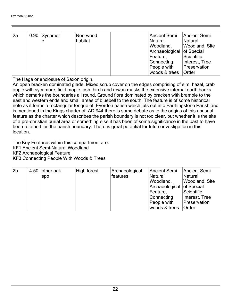| 2al | 0.90   Sycamor | Non-wood | Ancient Semi              | Ancient Semi   |
|-----|----------------|----------|---------------------------|----------------|
|     | e              | habitat  | Natural                   | Natural        |
|     |                |          | Woodland,                 | Woodland, Site |
|     |                |          | Archaeological of Special |                |
|     |                |          | Feature,                  | Scientific     |
|     |                |          | Connecting                | Interest, Tree |
|     |                |          | People with               | Preservation   |
|     |                |          | woods & trees             | Order          |

The Haga or enclosure of Saxon origin.

An open bracken dominated glade. Mixed scrub cover on the edges comprising of elm, hazel, crab apple with sycamore, field maple, ash, birch and rowan masks the extensive internal earth banks which demarks the boundaries all round. Ground flora dominated by bracken with bramble to the east and western ends and small areas of bluebell to the south. The feature is of some historical note as it forms a rectangular tongue of Everdon parish which juts out into Farthingstone Parish and is mentioned in the Kings charter of AD 944 there is some debate as to the origins of this unusual feature as the charter which describes the parish boundary is not too clear, but whether it is the site of a pre-christian burial area or something else it has been of some significance in the past to have been retained as the parish boundary. There is great potential for future investigation in this location.

The Key Features within this compartment are:

KF1 Ancient Semi-Natural Woodland

KF2 Archaeological Feature

KF3 Connecting People With Woods & Trees

| 2b | 4.50 | other oak | High forest | Archaeological  | Ancient Semi              | Ancient Semi          |
|----|------|-----------|-------------|-----------------|---------------------------|-----------------------|
|    |      | spp       |             | <b>features</b> | Natural                   | Natural               |
|    |      |           |             |                 | Woodland,                 | <b>Woodland, Site</b> |
|    |      |           |             |                 | Archaeological of Special |                       |
|    |      |           |             |                 | Feature,                  | Scientific            |
|    |      |           |             |                 | Connecting                | Interest, Tree        |
|    |      |           |             |                 | People with               | Preservation          |
|    |      |           |             |                 | woods & trees             | <b>Order</b>          |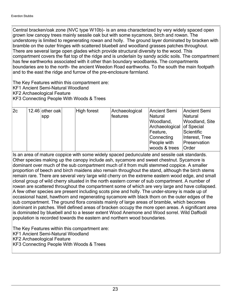Central bracken/oak zone (NVC type W10b)- is an area characterized by very widely spaced open grown low canopy trees mainly sessile oak but with some sycamore, birch and rowan. The understorey is limited to regenerating rowan and holly. The ground layer dominated by bracken with bramble on the outer fringes with scattered bluebell and woodland grasses patches throughout. There are several large open glades which provide structural diversity to the wood. This compartment covers the flat top of the ridge and is underlain by sandy acidic soils. The compartment has few earthworks associated with it other than boundary woodbanks. The compartments boundaries are to the north- the ancient Weedon Road earthworks. To the south the main footpath and to the east the ridge and furrow of the pre-enclosure farmland.

The Key Features within this compartment are:

- KF1 Ancient Semi-Natural Woodland
- KF2 Archaeological Feature

KF3 Connecting People With Woods & Trees

| 2c | 12.46 other oak | High forest | Archaeological | Ancient Semi              | Ancient Semi          |
|----|-----------------|-------------|----------------|---------------------------|-----------------------|
|    | Spp             |             | features       | <b>Natural</b>            | Natural               |
|    |                 |             |                | Woodland,                 | <b>Woodland, Site</b> |
|    |                 |             |                | Archaeological of Special |                       |
|    |                 |             |                | Feature,                  | Scientific            |
|    |                 |             |                | Connecting                | Interest, Tree        |
|    |                 |             |                | People with               | Preservation          |
|    |                 |             |                | woods & trees             | <b>Order</b>          |

Is an area of mature coppice with some widely spaced pedunculate and sessile oak standards. Other species making up the canopy include ash, sycamore and sweet chestnut. Sycamore is dominant over much of the sub compartment much of it from multi stemmed coppice. A smaller proportion of beech and birch maidens also remain throughout the stand, although the birch stems remain rare. There are several very large wild cherry on the extreme eastern wood edge, and small clonal group of wild cherry situated in the north eastern corner of sub compartment. A number of rowan are scattered throughout the compartment some of which are very large and have collapsed. A few other species are present including scots pine and holly. The under-storey is made up of occasional hazel, hawthorn and regenerating sycamore with black thorn on the outer edges of the sub compartment. The ground flora consists mainly of large areas of bramble, which becomes dominant in patches. Well defined areas of bracken occupy the more open areas. A significant area is dominated by bluebell and to a lesser extent Wood Anemone and Wood sorrel. Wild Daffodil population is recorded towards the eastern and northern wood boundaries.

The Key Features within this compartment are:

KF1 Ancient Semi-Natural Woodland

KF2 Archaeological Feature

KF3 Connecting People With Woods & Trees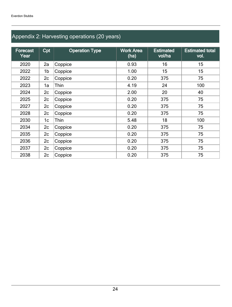## Appendix 2: Harvesting operations (20 years)

| <b>Forecast</b><br>Year | Cpt | <b>Operation Type</b> | <b>Work Area</b><br>(ha) | <b>Estimated</b><br>vol/ha | <b>Estimated total</b><br>vol. |
|-------------------------|-----|-----------------------|--------------------------|----------------------------|--------------------------------|
| 2020                    | 2a  | Coppice               | 0.93                     | 16                         | 15                             |
| 2022                    | 1b  | Coppice               | 1.00                     | 15                         | 15                             |
| 2022                    | 2c  | Coppice               | 0.20                     | 375                        | 75                             |
| 2023                    | 1a  | Thin                  | 4.19                     | 24                         | 100                            |
| 2024                    | 2c  | Coppice               | 2.00                     | 20                         | 40                             |
| 2025                    | 2c  | Coppice               | 0.20                     | 375                        | 75                             |
| 2027                    | 2c  | Coppice               | 0.20                     | 375                        | 75                             |
| 2028                    | 2c  | Coppice               | 0.20                     | 375                        | 75                             |
| 2030                    | 1c  | Thin                  | 5.48                     | 18                         | 100                            |
| 2034                    | 2c  | Coppice               | 0.20                     | 375                        | 75                             |
| 2035                    | 2c  | Coppice               | 0.20                     | 375                        | 75                             |
| 2036                    | 2c  | Coppice               | 0.20                     | 375                        | 75                             |
| 2037                    | 2c  | Coppice               | 0.20                     | 375                        | 75                             |
| 2038                    | 2c  | Coppice               | 0.20                     | 375                        | 75                             |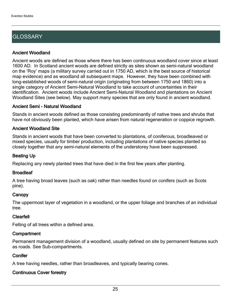## **GLOSSARY**

#### Ancient Woodland

Ancient woods are defined as those where there has been continuous woodland cover since at least 1600 AD. In Scotland ancient woods are defined strictly as sites shown as semi-natural woodland on the 'Roy' maps (a military survey carried out in 1750 AD, which is the best source of historical map evidence) and as woodland all subsequent maps. However, they have been combined with long-established woods of semi-natural origin (originating from between 1750 and 1860) into a single category of Ancient Semi-Natural Woodland to take account of uncertainties in their identification. Ancient woods include Ancient Semi-Natural Woodland and plantations on Ancient Woodland Sites (see below). May support many species that are only found in ancient woodland.

#### Ancient Semi - Natural Woodland

Stands in ancient woods defined as those consisting predominantly of native trees and shrubs that have not obviously been planted, which have arisen from natural regeneration or coppice regrowth.

#### Ancient Woodland Site

Stands in ancient woods that have been converted to plantations, of coniferous, broadleaved or mixed species, usually for timber production, including plantations of native species planted so closely together that any semi-natural elements of the understorey have been suppressed.

#### Beating Up

Replacing any newly planted trees that have died in the first few years after planting.

#### **Broadleaf**

A tree having broad leaves (such as oak) rather than needles found on conifers (such as Scots pine).

#### **Canopy**

The uppermost layer of vegetation in a woodland, or the upper foliage and branches of an individual tree.

#### Clearfell

Felling of all trees within a defined area.

#### **Compartment**

Permanent management division of a woodland, usually defined on site by permanent features such as roads. See Sub-compartments.

#### **Conifer**

A tree having needles, rather than broadleaves, and typically bearing cones.

#### Continuous Cover forestry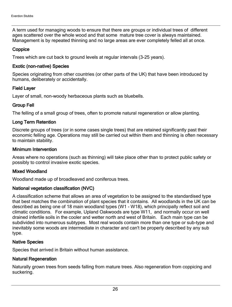A term used for managing woods to ensure that there are groups or individual trees of different ages scattered over the whole wood and that some mature tree cover is always maintained. Management is by repeated thinning and no large areas are ever completely felled all at once.

#### **Coppice**

Trees which are cut back to ground levels at regular intervals (3-25 years).

#### Exotic (non-native) Species

Species originating from other countries (or other parts of the UK) that have been introduced by humans, deliberately or accidentally.

#### Field Layer

Layer of small, non-woody herbaceous plants such as bluebells.

#### Group Fell

The felling of a small group of trees, often to promote natural regeneration or allow planting.

#### Long Term Retention

Discrete groups of trees (or in some cases single trees) that are retained significantly past their economic felling age. Operations may still be carried out within them and thinning is often necessary to maintain stability.

#### Minimum Intervention

Areas where no operations (such as thinning) will take place other than to protect public safety or possibly to control invasive exotic species.

#### Mixed Woodland

Woodland made up of broadleaved and coniferous trees.

#### National vegetation classification (NVC)

A classification scheme that allows an area of vegetation to be assigned to the standardised type that best matches the combination of plant species that it contains. All woodlands in the UK can be described as being one of 18 main woodland types (W1 - W18), which principally reflect soil and climatic conditions. For example, Upland Oakwoods are type W11, and normally occur on well drained infertile soils in the cooler and wetter north and west of Britain. Each main type can be subdivided into numerous subtypes. Most real woods contain more than one type or sub-type and inevitably some woods are intermediate in character and can't be properly described by any sub type.

#### Native Species

Species that arrived in Britain without human assistance.

#### Natural Regeneration

Naturally grown trees from seeds falling from mature trees. Also regeneration from coppicing and suckering.